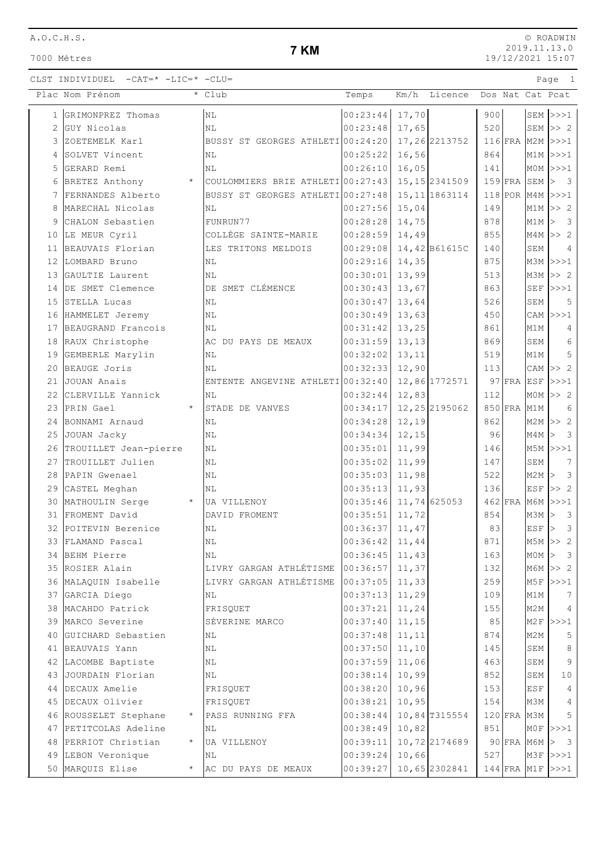A.O.C.H.S.

7000 Mètres

## **7 KM**

CLST INDIVIDUEL -CAT=\* -LIC=\* -CLU= Page 1

|                   | Plac Nom Prénom                  | * Club                            | Temps    | Km/h         | Licence        |     |             |                 | Dos Nat Cat Pcat          |
|-------------------|----------------------------------|-----------------------------------|----------|--------------|----------------|-----|-------------|-----------------|---------------------------|
|                   | 1 GRIMONPREZ Thomas              | N <sub>L</sub>                    | 00:23:44 | 17,70        |                | 900 |             |                 | <sub>SEM</sub>  >>1       |
| 2                 | GUY Nicolas                      | NL                                | 00:23:48 | 17,65        |                | 520 |             |                 | $SEM \gg 2$               |
| 3                 | ZOETEMELK Karl                   | BUSSY ST GEORGES ATHLETI 00:24:20 |          |              | 17,26 2213752  |     | 116 FRA     |                 | $M2M \rightarrow > > 1$   |
| 4                 | SOLVET Vincent                   | NL                                | 00:25:22 | 16,56        |                | 864 |             |                 | $M1M$ $>>$ $1$            |
| 5                 | GERARD Remi                      | N <sub>L</sub>                    | 00:26:10 | 16,05        |                | 141 |             |                 | $MOM$ >>>1                |
| 6                 | BRETEZ Anthony<br>$\star$        | COULOMMIERS BRIE ATHLETI00:27:43  |          |              | 15, 15 2341509 |     |             |                 | $159$ FRA SEM $>3$        |
| 7                 | FERNANDES Alberto                | BUSSY ST GEORGES ATHLETI 00:27:48 |          |              | 15, 11 1863114 |     |             |                 | $118$ POR M4M >>>1        |
| 8                 | MARECHAL Nicolas                 | NL                                | 00:27:56 | 15,04        |                | 149 |             |                 | $M1M \gg 2$               |
| 9                 | CHALON Sebastien                 | FUNRUN77                          | 00:28:28 | 14,75        |                | 878 |             |                 | M1M > 3                   |
| 10                | LE MEUR Cyril                    | COLLÈGE SAINTE-MARIE              | 00:28:59 | 14,49        |                | 855 |             |                 | $M4M$ $>>$ 2              |
|                   | 11 BEAUVAIS Florian              | LES TRITONS MELDOIS               | 00:29:08 |              | 14,42 B61615C  | 140 |             | SEM             | $\overline{4}$            |
| $12 \overline{ }$ | LOMBARD Bruno                    | NL                                | 00:29:16 | 14,35        |                | 875 |             |                 | M3M >>>1                  |
| 13                | GAULTIE Laurent                  | NL                                | 00:30:01 | 13,99        |                | 513 |             |                 | $M3M \gg 2$               |
| 14                | DE SMET Clemence                 | DE SMET CLÉMENCE                  | 00:30:43 | 13,67        |                | 863 |             |                 | $SEF$ $>>$ $1$            |
| 15                | STELLA Lucas                     | NL                                | 00:30:47 | 13,64        |                | 526 |             | SEM             | -5                        |
| 16                | HAMMELET Jeremy                  | N <sub>L</sub>                    | 00:30:49 | 13,63        |                | 450 |             |                 | $CAM \n>>1$               |
| 17                | BEAUGRAND Francois               | NL                                | 00:31:42 | 13,25        |                | 861 |             | M1M             | $\overline{4}$            |
| 18                | RAUX Christophe                  | AC DU PAYS DE MEAUX               | 00:31:59 | 13, 13       |                | 869 |             | SEM             | 6                         |
| 19                | GEMBERLE Marylin                 | NL                                | 00:32:02 | 13, 11       |                | 519 |             | M1M             | 5                         |
| 20                | BEAUGE Joris                     | NL                                | 00:32:33 | 12,90        |                | 113 |             |                 | $CAM \rightharpoonup > 2$ |
| 21                | JOUAN Anais                      | ENTENTE ANGEVINE ATHLETI 00:32:40 |          |              | 12,86 1772571  |     | 97 FRA ESF  |                 | >>>1                      |
| 22                | CLERVILLE Yannick                | NL                                | 00:32:44 | 12,83        |                | 112 |             |                 | $MOM$ >> 2                |
| 23                | PRIN Gael<br>$\star$             | STADE DE VANVES                   | 00:34:17 |              | 12, 25 2195062 |     | 850 FRA     | M1M             | 6                         |
| 24                | BONNAMI Arnaud                   | NL                                | 00:34:28 | 12,19        |                | 862 |             |                 | $M2M$ >> 2                |
| 25                | JOUAN Jacky                      | NL                                | 00:34:34 | 12,15        |                | 96  |             | M4M             | > 3                       |
| 26                | TROUILLET Jean-pierre            | NL                                | 00:35:01 | 11,99        |                | 146 |             |                 | M5M >>>1                  |
| 27                | TROUILLET Julien                 | NL                                | 00:35:02 | 11,99        |                | 147 |             | SEM             | 7                         |
| 28                | PAPIN Gwenael                    | NL                                | 00:35:03 | 11,98        |                | 522 |             |                 | M2M > 3                   |
| 29                | CASTEL Meghan                    | NL                                | 00:35:13 | 11,93        |                | 136 |             |                 | $ESF$ >> 2                |
| 30                | MATHOULIN Serge<br>$\star$       | UA VILLENOY                       | 00:35:46 | 11,74 625053 |                |     | 462 FRA     |                 | $M6M$ $>>$ $2$            |
| 31                | FROMENT David                    | DAVID FROMENT                     | 00:35:51 | 11,72        |                | 854 |             | $M3M$ >         | $\overline{\phantom{a}}$  |
| 32                | POITEVIN Berenice                | NL                                | 00:36:37 | 11,47        |                | 83  |             |                 | ESF > 3                   |
|                   | 33 FLAMAND Pascal                | NL                                | 00:36:42 | 11,44        |                | 871 |             |                 | $M5M$ >> 2                |
| 34                | BEHM Pierre                      | N <sub>L</sub>                    | 00:36:45 | 11,43        |                | 163 |             | $MOM$ >         | $\overline{\mathbf{3}}$   |
|                   | 35 ROSIER Alain                  | LIVRY GARGAN ATHLÉTISME           | 00:36:57 | 11,37        |                | 132 |             |                 | $M6M \gg 2$               |
|                   | 36 MALAQUIN Isabelle             | LIVRY GARGAN ATHLÉTISME           | 00:37:05 | 11, 33       |                | 259 |             | M5F             | >>>1                      |
| 37                | GARCIA Diego                     | NL                                | 00:37:13 | 11,29        |                | 109 |             | M1M             | 7                         |
| 38                | MACAHDO Patrick                  | FRISQUET                          | 00:37:21 | 11,24        |                | 155 |             | M2M             | $\overline{4}$            |
| 39                | MARCO Severine                   | SÉVERINE MARCO                    | 00:37:40 | 11, 15       |                | 85  |             |                 | $M2F$ >>>1                |
| 40                | GUICHARD Sebastien               | NL                                | 00:37:48 | 11,11        |                | 874 |             | M <sub>2M</sub> | 5                         |
|                   | 41 BEAUVAIS Yann                 | N <sub>L</sub>                    | 00:37:50 | 11, 10       |                | 145 |             | SEM             | $\,8\,$                   |
|                   | 42 LACOMBE Baptiste              | ΝL                                | 00:37:59 | 11,06        |                | 463 |             | SEM             | $\mathsf 9$               |
| 43                | JOURDAIN Florian                 | NL                                | 00:38:14 | 10,99        |                | 852 |             | SEM             | $10$                      |
|                   | 44 DECAUX Amelie                 | FRISQUET                          | 00:38:20 | 10,96        |                | 153 |             | ESF             | $\sqrt{4}$                |
| 45                | DECAUX Olivier                   | FRISQUET                          | 00:38:21 | 10,95        |                | 154 |             | M3M             | $\overline{4}$            |
|                   | 46 ROUSSELET Stephane<br>$\star$ | PASS RUNNING FFA                  | 00:38:44 |              | 10,84 T315554  |     | 120 FRA M3M |                 | 5                         |
| 47                | PETITCOLAS Adeline               | NL                                | 00:38:49 | 10,82        |                | 851 |             |                 | $MOF$ >>>1                |
| 48                | PERRIOT Christian<br>$\star$     | UA VILLENOY                       | 00:39:11 |              | 10,72 2174689  |     | 90 FRA M6M  |                 | > 3                       |
| 49                | LEBON Veronique                  | NL                                | 00:39:24 | 10,66        |                | 527 |             |                 | $M3F$ $>>$ 2              |
| 50                | MARQUIS Elise<br>$^{\star}$      | AC DU PAYS DE MEAUX               | 00:39:27 |              | 10,65 2302841  |     |             |                 | 144 FRA M1F >>>1          |